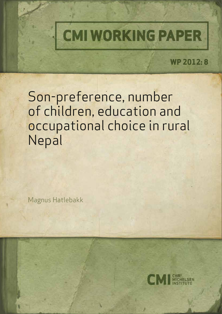

**WP 2012: 8**

Son-preference, number of children, education and occupational choice in rural Nepal

Magnus Hatlebakk

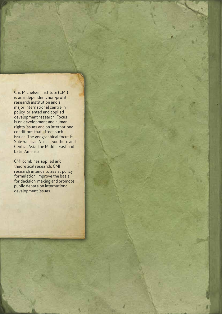Chr. Michelsen Institute (CMI) is an independent, non-profit research institution and a major international centre in policy-oriented and applied development research. Focus is on development and human rights issues and on international conditions that affect such issues. The geographical focus is Sub-Saharan Africa, Southern and Central Asia, the Middle East and Latin America.

CMI combines applied and theoretical research. CMI research intends to assist policy formulation, improve the basis for decision-making and promote public debate on international development issues.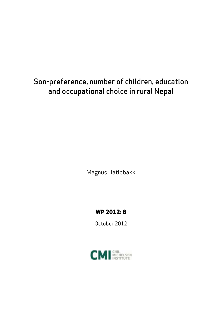# Son-preference, number of children, education and occupational choice in rural Nepal

Magnus Hatlebakk

### **WP 2012: 8**

October 2012

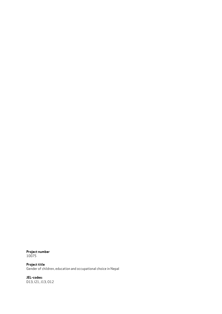**Project number** 10075

**Project title** Gender of children, education and occupational choice in Nepal

**JEL-codes:** D13, I21, J13, O12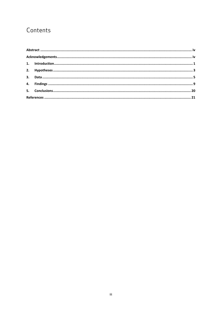### Contents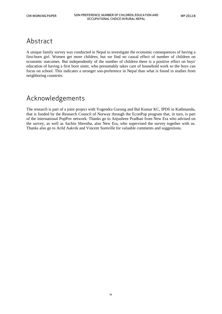### <span id="page-5-0"></span>Abstract

A unique family survey was conducted in Nepal to investigate the economic consequences of having a first-born girl. Women get more children, but we find no causal effect of number of children on economic outcomes. But independently of the number of children there is a positive effect on boys' education of having a first born sister, who presumably takes care of household work so the boys can focus on school. This indicates a stronger son-preference in Nepal than what is found in studies from neighboring countries.

### <span id="page-5-1"></span>Acknowledgements

The research is part of a joint project with Yogendra Gurung and Bal Kumar KC, IPDS in Kathmandu, that is funded by the Research Council of Norway through the EconPop program that, in turn, is part of the international PopPov network. Thanks go to Anjushree Pradhan from New Era who advised on the survey, as well as Sachin Shrestha, also New Era, who supervised the survey together with us. Thanks also go to Arild Aakvik and Vincent Somville for valuable comments and suggestions.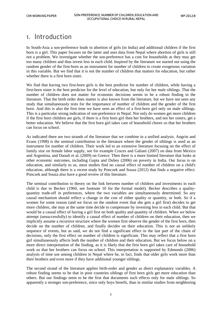### <span id="page-6-0"></span>1. Introduction

In South-Asia a son-preference leads to abortion of girls (in India) and additional children if the first born is a girl. This paper focuses on the latter and uses data from Nepal where abortion of girls is still not a problem. We investigate whether the son-preference has a cost for households as they may get too many children and thus invest less in each child. Inspired by the literature we started out using the random gender of the first-born as an instrument for number of children to create exogenous variation in this variable. But we find that it is not the number of children that matters for education, but rather whether there is a first born sister.

We find that having two first-born girls is the best predictor for number of children, while having a first-born sister is the best predictor for the level of education, but only for her male siblings. That the number of children does not matter for economic decisions seems to be a robust finding in the literature. That the birth order does matter is also known from the literature, but we have not seen any study that simultaneously tests for the importance of number of children and the gender of the first born. And this is also the first time we have seen an effect of a first-born girl only on male siblings. This is a particular strong indication of son-preference in Nepal. Not only do women get more children if the first born children are girls, if there is a first born girl then her brothers, and not her sisters, get a better education. We believe that the first born girl takes care of household chores so that her brothers can focus on school.

As indicated there are two strands of the literature that we combine in a unified analysis. Angrist and Evans (1998) is the seminal contribution in the literature where the gender of siblings is used as an instrument for number of children. Their work led to an extensive literature focusing on the effect of family size on female labor supply, see for example Cruces and Galiani (2007) on data from Mexico and Argentina, and Daouli et al. (2009) on Greece. Then there is a more limited literature that looks at other economic outcomes, including Gupta and Dubey (2006) on poverty in India. Our focus is on education, and similarly to us, most studies find no causal effect of number of children on a child's education, although there is a recent study by Ponczek and Souza (2012) that finds a negative effect. Ponczek and Souza also have a good review of this literature.

The seminal contribution to theory on the link between number of children and investments in each child is due to Becker (1960, see footnote 10 for the formal model). Becker describes a qualityquantity trade-off in preferences, where the two variables are simultaneously determined. So any causal mechanism should reflect a change in the cost of either quality or quantity, or both. So if a women for some reason (and we focus on the random event that she gets a girl first) decides to get more children, she may at the same time decide to compensate by investing less in each child. But that would be a causal effect of having a girl first on both quality and quantity of children. When we below attempt (unsuccessfully) to identify a causal effect of number of children on their education, then we implicitly assume a recursive structure where the women first observe the gender of the first born, then decide on the number of children, and finally decides on their education. This is not an unlikely sequence of events, but as said, we do not find a significant effect in the last part of the chain of decisions, only the first effect on number of children is significant. This may reflect that a first born girl simultaneously affects both the number of children and their education. But we focus below on a more direct interpretation of the finding, as it is likely that the first born girl takes care of household work so that her brothers can focus on school. This interpretation is supported by Edmonds (2006) analysis of time use among children in Nepal where he, in fact, finds that older girls work more than their brothers and even more if they have additional younger siblings.

The second strand of the literature applies birth-order and gender as direct explanatory variables. A robust finding seems to be that in poor countries siblings of first born girls get more education than others. But our findings seem to be the first that documents such effects only for male siblings. So apparently a stronger son-preference, since only boys benefit, than in similar studies from neighboring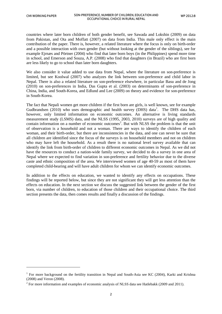$\overline{a}$ 

countries where later born children of both gender benefit, see Sawada and Lokshin (2009) on data from Pakistan, and Ota and Moffatt (2007) on data from India. This male only effect is the main contribution of the paper. There is, however, a related literature where the focus is only on birth-order and a possible interaction with own gender (but without looking at the gender of the siblings), see for example Ejrnæs and Pörtner (2004) who find that later born boys (in the Philippines) spend more time in school, and Emerson and Souza, A.P. (2008) who find that daughters (in Brazil) who are first born are less likely to go to school than later born daughters.

We also consider it value added to use data from Nepal, where the literature on son-preference is limited, but see Koolwal (2007) who analyzes the link between son-preference and child labor in Nepal. There is also a related literature on son-preference elsewhere, in particular Basu and de Jong (2010) on son-preferences in India, Das Gupta et al. (2003) on determinants of son-preference in China, India, and South-Korea, and Edlund and Lee (2009) on theory and evidence for son-preference in South-Korea.

The fact that Nepali women get more children if the first born are girls, is well known, see for example Gudbrandsen (20[1](#page-7-0)0) who uses demographic and health survey (DHS) data<sup>1</sup>. The DHS data has, however, only limited information on economic outcomes. An alternative is living standards measurement study (LSMS) data, and the NLSS (1995, 2003, 2010) surveys are of high quality and contain information on a number of economic outcomes<sup>[2](#page-7-1)</sup>. But with NLSS the problem is that the unit of observation is a household and not a woman. There are ways to identify the children of each woman, and their birth-order, but there are inconsistencies in the data, and one can never be sure that all children are identified since the focus of the surveys is on household members and not on children who may have left the household. As a result there is no national level survey available that can identify the link from birth-order of children to different economic outcomes in Nepal. As we did not have the resources to conduct a nation-wide family survey, we decided to do a survey in one area of Nepal where we expected to find variation in son-preference and fertility behavior due to the diverse caste and ethnic composition of the area. We interviewed women of age 40-59 as most of them have completed child-bearing and will have adult children for whom we can identify economic outcomes.

In addition to the effects on education, we wanted to identify any effects on occupations. These findings will be reported below, but since they are not significant they will get less attention than the effects on education. In the next section we discuss the suggested link between the gender of the first born, via number of children, to education of those children and their occupational choice. The third section presents the data, then comes results and finally a discussion of the findings.

<span id="page-7-0"></span><sup>&</sup>lt;sup>1</sup> For more background on the fertility transition in Nepal and South-Asia see KC (2004), Karki and Krishna (2008) and Veron (2008).

<span id="page-7-1"></span><sup>&</sup>lt;sup>2</sup> For more information and examples of economic analysis of NLSS data see Hatlebakk (2009 and 2011).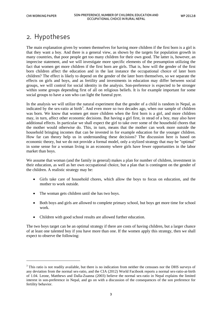### <span id="page-8-0"></span>2. Hypotheses

The main explanation given by women themselves for having more children if the first born is a girl is that they want a boy. And there is a general view, as shown by the targets for population growth in many countries, that poor people get too many children for their own good. The latter is, however, an imprecise statement, and we will investigate more specific elements of the presumption utilizing the fact that women get more children if the first born are girls. That is, how will the gender of the first born children affect the education and in the last instance the occupational choice of later born children? The effect is likely to depend on the gender of the later born themselves, so we separate the effects on girls and boys, and as fertility and investments in education may differ between social groups, we will control for social identity in the analysis. Son-preference is expected to be stronger within some groups depending first of all on religious beliefs. It is for example important for some social groups to have a son who can light the funeral pyre.

In the analysis we will utilize the natural experiment that the gender of a child is random in Nepal, as indicated by the sex-ratio at birth<sup>[3](#page-8-1)</sup>. And even more so two decades ago, when our sample of children was born. We know that women get more children when the first born is a girl, and more children may, in turn, affect other economic decisions. But having a girl first, in stead of a boy, may also have additional effects. In particular we shall expect the girl to take over some of the household chores that the mother would otherwise do. This, in turn, means that the mother can work more outside the household bringing incomes that can be invested in for example education for the younger children. How far can theory help us in understanding these decisions? The discussion here is based on economic theory, but we do not provide a formal model, only a stylized strategy that may be "optimal" in some sense for a woman living in an economy where girls have fewer opportunities in the labor market than boys.

We assume that woman (and the family in general) makes a plan for number of children, investment in their education, as well as her own occupational choice, but a plan that is contingent on the gender of the children. A realistic strategy may be:

- Girls take care of household chores, which allow the boys to focus on education, and the mother to work outside.
- The woman gets children until she has two boys.

 $\overline{a}$ 

- Both boys and girls are allowed to complete primary school, but boys get more time for school work.
- Children with good school results are allowed further education.

The two boys target can be an optimal strategy if there are costs of having children, but a larger chance of at least one talented boy if you have more than one. If the women apply this strategy, then we shall expect to observe the following:

<span id="page-8-1"></span><sup>&</sup>lt;sup>3</sup> This ratio is not readily available, but there is no indication from neither the censuses nor the DHS surveys of any deviation from the normal sex-ratio, and the CIA (2012) World Factbook reports a normal sex-ratio-at-birth of 1.04. Leone, Matthews and Dalla-Zuanna (2003) believe the normal sex-ratio in Nepal explains the limited interest in son-preference in Nepal, and go on with a discussion of the consequences of the son preference for fertility behavior.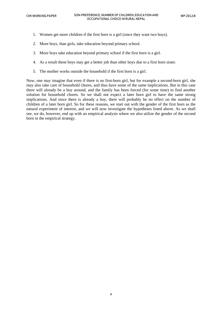- 1. Women get more children if the first born is a girl (since they want two boys).
- 2. More boys, than girls, take education beyond primary school.
- 3. More boys take education beyond primary school if the first born is a girl.
- 4. As a result these boys may get a better job than other boys due to a first born sister.
- 5. The mother works outside the household if the first born is a girl.

Now, one may imagine that even if there is no first-born girl, but for example a second-born girl, she may also take care of household chores, and thus have some of the same implications. But in this case there will already be a boy around, and the family has been forced (for some time) to find another solution for household chores. So we shall not expect a later born girl to have the same strong implications. And since there is already a boy, there will probably be no effect on the number of children of a later born girl. So for these reasons, we start out with the gender of the first born as the natural experiment of interest, and we will now investigate the hypotheses listed above. As we shall see, we do, however, end up with an empirical analysis where we also utilize the gender of the second born in the empirical strategy.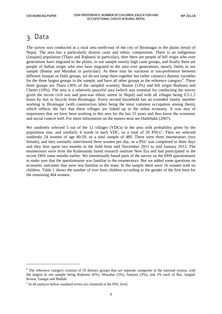### <span id="page-10-0"></span>3. Data

The survey was conducted in a rural area north-east of the city of Biratnagar in the plains (terai) of Nepal. The area has a particularly diverse caste and ethnic composition. There is an indigenous (Janajati) population (Tharu and Rajbansi in particular), then there are people of hill origin who over generations have migrated to the plains, in our sample mostly high caste groups, and finally there are people of Indian origin who also have migrated to the area over generations, mostly Dalits in our sample (Bantar and Musahar in particular). As there may be variation in son-preference between different Janajati or Dalit groups, we do not lump them together but rather construct dummy variables for the three largest groups in the sample, and have all other groups as the reference category<sup>[4](#page-10-1)</sup>. These three groups are Tharu (36% of the sampled women), Bantar (13%) and hill origin Brahmin and Chettri (10%). The area is a relatively peaceful area (which was essential for conducting the survey given the recent civil war and post-war ethnic unrest in Nepal) and with all villages being 0.5-1.5 hours by bus or bicycle from Biratnagar. Every second household has an extended family member working in Biratnagar (with construction labor being the most common occupation among them), which reflects the fact that these villages are linked up to the urban economy. It was also of importance that we have been working in this area for the last 15 years and thus know the economic and social context well. For more information on the eastern terai see Hatlebakk (2007).

We randomly selected 5 out of the 12 villages (VDCs) in the area with probability given by the population size, and similarly 4 wards in each VDC, so a total of 20 PSUs<sup>[5](#page-10-2)</sup>. Then we selected randomly 24 women of age 40-59, so a total sample of 480. There were three enumerators (two female), and they normally interviewed three women per day, so a PSU was completed in three days and they thus spent two months in the field from mid November 2011 to mid January 2012. The enumerators were from the Kathmandu based research institute New Era and had participated in the recent DHS some months earlier. We intentionally based parts of the survey on the DHS questionnaire to make sure that the questionnaire was familiar to the enumerators. But we added some questions on economic outcomes that were less familiar to the team. In the sample there were 16 women with no children. Table 1 shows the number of ever born children according to the gender of the first born for the remaining 464 women.

1

<span id="page-10-1"></span><sup>&</sup>lt;sup>4</sup> The reference category consists of 35 distinct groups that are separate categories in the national census, with the largest in our sample being Rajbansi (6%), Musahar (5%), Sanyasi (3%), and 2% each of Rai, Jangad, Kewat, Gangai and Mallah.

<span id="page-10-2"></span><sup>5</sup> In all analysis below standard errors are clustered at the PSU level.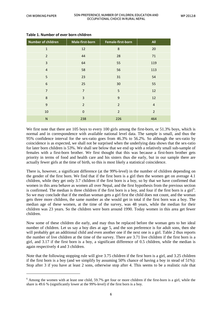1

| <b>Number of children</b> | Male-first-born | Female-first-born | All            |
|---------------------------|-----------------|-------------------|----------------|
| $\mathbf{1}$              | 12              | $\,8\,$           | 20             |
| $\overline{2}$            | 44              | 28                | 71             |
| $\overline{3}$            | 64              | 55                | 119            |
| $\overline{4}$            | 58              | 56                | 113            |
| 5                         | 23              | 31                | 54             |
| 6                         | 25              | 30                | 55             |
| $\overline{7}$            | $\overline{7}$  | 5                 | 12             |
| 8                         | $\overline{3}$  | 9                 | 12             |
| 9                         | $\overline{2}$  | $\overline{2}$    | $\overline{4}$ |
| 10                        | $\mathbf 0$     | $\overline{2}$    | $\overline{2}$ |
| $\mathsf{N}$              | 238             | 226               | 464            |

#### **Table 1. Number of ever born children**

We first note that there are 105 boys to every 100 girls among the first-born, or 51.3% boys, which is normal and in correspondence with available national level data. The sample is small, and thus the 95% confidence interval for the sex-ratio goes from 46.3% to 56.2%. So although the sex-ratio by coincidence is as expected, we shall not be surprised when the underlying data shows that the sex-ratio for later born children is 53%. We shall see below that we end up with a relatively small sub-sample of females with a first-born brother. We first thought that this was because a first-born brother gets priority in terms of food and health care and his sisters thus die early, but in our sample there are actually fewer girls at the time of birth, so this is most likely a statistical coincidence.

There is, however, a significant difference (at the 99%-level) in the number of children depending on the gender of the first born. We find that if the first born is a girl then the women get on average 4.1 children, while they get only 3.7 children if the first born is a boy, so by that we have confirmed that women in this area behave as women all over Nepal, and the first hypothesis from the previous section is confirmed. The median is three children if the first born is a boy, and four if the first born is a girl<sup>[6](#page-11-0)</sup>. So we may conclude that if the median woman gets a girl first the child does not count, and the woman gets three more children, the same number as she would get in total if the first born was a boy. The median age of these women, at the time of the survey, was 48 years, while the median for their children was 23 years. So the children were born around 1990. Today women in this area get fewer children.

Now some of these children die early, and may thus be replaced before the woman gets to her ideal number of children. Let us say a boy dies at age 5, and the son preference is for adult sons, then she will probably get an additional child and even another one if the next one is a girl. Table 2 thus reports the number of live children at the time of the survey. There are 3.71 live children if the first born is a girl, and 3.17 if the first born is a boy, a significant difference of 0.5 children, while the median is again respectively 4 and 3 children.

Note that the following stopping rule will give 3.75 children if the first born is a girl, and 3.25 children if the first born is a boy (and we simplify by assuming 50% chance of having a boy in stead of 51%): Stop after 3 if you have at least 2 sons, otherwise stop after 4. This seems to be a realistic rule that

<span id="page-11-0"></span> $6$  Among the women with at least one child, 59.7% get four or more children if the first-born is a girl, while the share is 49.6 % (significantly lower at the 99%-level) if the first born is a boy.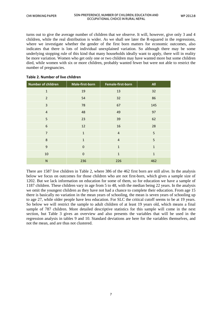turns out to give the average number of children that we observe. It will, however, give only 3 and 4 children, while the real distribution is wider. As we shall see later the R-squared in the regressions, where we investigate whether the gender of the first born matters for economic outcomes, also indicates that there is lots of individual unexplained variation. So although there may be some underlying stopping rule of this kind that many households ideally want to apply, there will in reality be more variation. Women who get only one or two children may have wanted more but some children died, while women with six or more children, probably wanted fewer but were not able to restrict the number of pregnancies.

| <b>Number of children</b> | Male-first-born | Female-first-born | <b>All</b>   |
|---------------------------|-----------------|-------------------|--------------|
| $\mathbf{1}$              | 19              | 13                | 32           |
| $\overline{2}$            | 54              | 32                | 86           |
| 3                         | 78              | 67                | 145          |
| $\overline{4}$            | 48              | 49                | 97           |
| 5                         | 23              | 39                | 62           |
| $6\phantom{1}6$           | 12              | 16                | 28           |
| $\overline{7}$            | $\mathbf{1}$    | $\overline{4}$    | 5            |
| 8                         | $\mathbf{1}$    | $\overline{4}$    | 5            |
| 9                         | $\mathbf{0}$    | $\mathbf{1}$      | $\mathbf{1}$ |
| 10                        | $\mathbf 0$     | $\mathbf{1}$      | $\mathbf{1}$ |
| N                         | 236             | 226               | 462          |

#### **Table 2. Number of live children**

There are 1587 live children in Table 2, where 386 of the 462 first born are still alive. In the analysis below we focus on outcomes for those children who are not first-born, which gives a sample size of 1202. But we lack information on education for some of them, so for education we have a sample of 1187 children. These children vary in age from 5 to 48, with the median being 22 years. In the analysis we omit the youngest children as they have not had a chance to complete their education. From age 15 there is basically no variation in the mean years of schooling, the mean is seven years of schooling up to age 27, while older people have less education. For SLC the critical cutoff seems to be at 19 years. So below we will restrict the sample to adult children of at least 19 years old, which means a final sample of 787 children. More detailed descriptive statistics for this sample will come in the next section, but Table 3 gives an overview and also presents the variables that will be used in the regression analysis in tables 9 and 10. Standard deviations are here for the variables themselves, and not the mean, and are thus not clustered.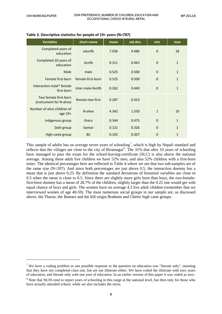$\overline{a}$ 

| <b>Variables</b>                                  | short-name        | mean  | std.dev. | min          | max          |
|---------------------------------------------------|-------------------|-------|----------|--------------|--------------|
| Completed years of<br>education                   | edunfb            | 7.036 | 4.486    | $\mathbf{0}$ | 18           |
| Completed 10-years of<br>education                | sicnfb            | 0.311 | 0.463    | $\Omega$     | $\mathbf{1}$ |
| Male                                              | male              | 0.525 | 0.500    | $\Omega$     | $\mathbf{1}$ |
| Female first-born                                 | female-first-born | 0.525 | 0.500    | $\Omega$     | $\mathbf{1}$ |
| Interaction male* female<br>first-born            | inter-male-femfb  | 0.262 | 0.440    | $\Omega$     | $\mathbf{1}$ |
| Two female first-born<br>(instrument for N-alive) | female-two-first  | 0.287 | 0.453    |              |              |
| Number of alive children of<br>age $19+$          | N-alive           | 4.342 | 1.550    | $\mathbf{1}$ | 10           |
| Indigenous group                                  | tharu             | 0.344 | 0.475    | $\Omega$     | $\mathbf{1}$ |
| Dalit group                                       | bantar            | 0.121 | 0.326    | $\Omega$     | $\mathbf{1}$ |
| High-caste group                                  | <b>BC</b>         | 0.105 | 0.307    | $\Omega$     | 1            |

#### **Table 3. Descriptive statistics for people of 19+ years (N=787)**

This sample of adults has on average seven years of schooling<sup>[7](#page-13-0)</sup>, which is high by Nepali standard and reflects that the villages are close to the city of Biratnagar<sup>[8](#page-13-1)</sup>. The 31% that after 10 years of schooling have managed to pass the exam for the school-leaving-certificate (SLC) is also above the national average. Among these adult live children we have 52% men, and also 52% children with a first-born sister. The identical percentages here are reflected in Table 4 where we see that two sub-samples are of the same size  $(N=207)$ . And since both percentages are just above 0.5, the interaction dummy has a mean that is just above 0.25. By definition the standard deviations of binomial variables are close to 0.5 when the mean is close to 0.5. Since there are slightly more girls born than boys, the two-femalefirst-born dummy has a mean of 28.7% of the children, slightly larger than the 0.25 one would get with equal chance of boys and girls. The women have on average 4.3 live adult children (remember that we interviewed women of age 40-59). The most numerous social groups in our sample are, as discussed above, the Tharus, the Bantars and the hill origin Brahmin and Chettri high caste groups.

<span id="page-13-0"></span><sup>&</sup>lt;sup>7</sup> We have a coding problem as one possible response to the question on education was "literate only", meaning that they have not completed class one, but are not illiterate either. We have coded the illiterate with zero years of education, and literate only with one year of education. In an earlier version of this paper it was coded as zero.

<span id="page-13-1"></span><sup>&</sup>lt;sup>8</sup> Note that NLSS tend to report years of schooling in this range at the national level, but then only for those who have actually attended school, while we also includes the zeros.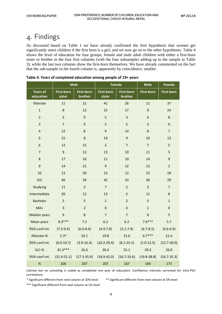# <span id="page-14-0"></span>4. Findings

As discussed based on Table 1 we have already confirmed the first hypothesis that women get significantly more children if the first born is a girl, and we now go on to the other hypotheses. Table 4 shows the level of education for four groups, female and male adult children with either a first-born sister or brother in the four first columns (with the four subsamples adding up to the sample in Table 3), while the last two columns show the first-born themselves. We have already commented on the fact that the sub-sample in the fourth column is, apparently by coincidence, smaller.

|                              | <b>Male</b>                 |                              | <b>Female</b>               |                              | <b>Male</b>       | <b>Female</b>     |
|------------------------------|-----------------------------|------------------------------|-----------------------------|------------------------------|-------------------|-------------------|
| <b>Years of</b><br>education | <b>First-born</b><br>sister | <b>First-born</b><br>brother | <b>First-born</b><br>sister | <b>First-born</b><br>brother | <b>First-born</b> | <b>First-born</b> |
| Illiterate                   | 11                          | 21                           | 41                          | 26                           | 11                | 37                |
| $\mathbf{1}$                 | $\bf 8$                     | 13                           | 22                          | 17                           | 9                 | 24                |
| $\overline{2}$               | $\overline{3}$              | $\boldsymbol{9}$             | 5                           | $\overline{\mathbf{3}}$      | 6                 | $\bf 8$           |
| $\overline{\mathbf{3}}$      | $\overline{7}$              | $\overline{9}$               | 5                           | 5                            | 3                 | $\pmb{0}$         |
| $\overline{\mathbf{4}}$      | 12                          | 8                            | $\overline{9}$              | 14                           | 8                 | $\overline{7}$    |
| 5                            | 15                          | 8                            | 14                          | 9                            | 19                | 13                |
| 6                            | 12                          | 15                           | $\overline{2}$              | $\overline{7}$               | $\overline{7}$    | 5                 |
| $\overline{7}$               | $\mathsf g$                 | 12                           | 13                          | 10                           | 11                | 5                 |
| $\bf 8$                      | 17                          | 16                           | 11                          | 10                           | 14                | $9$               |
| 9                            | 14                          | 21                           | $\overline{9}$              | 12                           | 13                | $\overline{2}$    |
| 10                           | 13                          | 20                           | 13                          | 12                           | 15                | 18                |
| <b>SLC</b>                   | 46                          | 34                           | 42                          | 33                           | 28                | 29                |
| Studying                     | 11                          | $\overline{2}$               | $\overline{7}$              | $\overline{2}$               | 3                 | $\overline{7}$    |
| Intermediate                 | 20                          | 12                           | 13                          | 5                            | 11                | 8                 |
| <b>Bachelor</b>              | 5                           | 5                            | $\mathbf 1$                 | $\overline{2}$               | 5                 | $\mathbf 1$       |
| $MA+$                        | $\overline{\mathbf{3}}$     | $\overline{2}$               | $\overline{0}$              | $\overline{0}$               | $\mathbf{1}$      | $\mathbf{0}$      |
| <b>Median years</b>          | $\boldsymbol{9}$            | 8                            | $\overline{7}$              | $\overline{7}$               | 8                 | 5                 |
| Mean years                   | $8.3***$                    | 7.2                          | 6.2                         | 6.2                          | $7.6***$          | 5.7               |
| 95%-conf-int.                | $(7.3-9.4)$                 | $(6.0 - 8.4)$                | $(4.9 - 7.6)$               | $(5.1 - 7.4)$                | $(6.7 - 8.5)$     | $(4.6 - 6.9)$     |
| Illiterate-%                 | $5.3*$                      | 10.1                         | 19.8                        | 15.6                         | $6.7***$          | 21.4              |
| 95%-conf-int.                | $(0.0-10.7)$                | $(3.9 - 16.4)$               | $(10.2 - 29.4)$             | $(6.1 - 25.1)$               | $(1.0-12.5)$      | $(12.7 - 30.0)$   |
| SLC-%                        | $41.3***$                   | 26.6                         | 30.4                        | 25.1                         | 29.3              | 26.0              |
| 95%-conf-int.                | $(31.4 - 51.1)$             | $(17.3 - 35.9)$              | $(18.9 - 42.0)$             | $(16.7 - 33.6)$              | $(19.8 - 38.8)$   | $(16.7 - 35.3)$   |
| $\mathsf{N}$                 | 206                         | 207                          | 207                         | 167                          | 164               | 173               |

| Table 4. Years of completed education among people of 19+ years |  |  |  |  |  |  |
|-----------------------------------------------------------------|--|--|--|--|--|--|
|-----------------------------------------------------------------|--|--|--|--|--|--|

Literate but no schooling is coded as completed one year of education. Confidence intervals corrected for intra-PSU correlations.

\* Significant different from next column at 10%-level \*\* Significant different from next column at 5%-level

\*\*\* Significant different from next column at 1%-level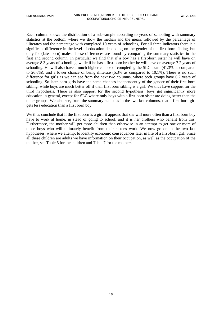Each column shows the distribution of a sub-sample according to years of schooling with summary statistics at the bottom, where we show the median and the mean, followed by the percentage of illiterates and the percentage with completed 10 years of schooling. For all three indicators there is a significant difference in the level of education depending on the gender of the first born sibling, but only for (later born) males. These differences are found by comparing the summary statistics in the first and second column. In particular we find that if a boy has a first-born sister he will have on average 8.3 years of schooling, while if he has a first-born brother he will have on average 7.2 years of schooling. He will also have a much higher chance of completing the SLC exam (41.3% as compared to 26.6%), and a lower chance of being illiterate (5.3% as compared to 10.1%). There is no such difference for girls as we can see from the next two columns, where both groups have 6.2 years of schooling. So later born girls have the same chances independently of the gender of their first born sibling, while boys are much better off if their first born sibling is a girl. We thus have support for the third hypothesis. There is also support for the second hypothesis, boys get significantly more education in general, except for SLC where only boys with a first born sister are doing better than the other groups. We also see, from the summary statistics in the two last columns, that a first born girl gets less education than a first born boy.

We thus conclude that if the first born is a girl, it appears that she will more often than a first born boy have to work at home, in stead of going to school, and it is her brothers who benefit from this. Furthermore, the mother will get more children than otherwise in an attempt to get one or more of those boys who will ultimately benefit from their sister's work. We now go on to the two last hypotheses, where we attempt to identify economic consequences later in life of a first-born girl. Since all these children are adults we have information on their occupation, as well as the occupation of the mother, see Table 5 for the children and Table 7 for the mothers.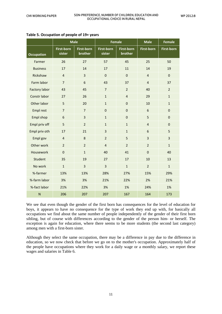|                         | <b>Male</b>                 |                       | <b>Female</b>               |                              | <b>Male</b>             | <b>Female</b>     |
|-------------------------|-----------------------------|-----------------------|-----------------------------|------------------------------|-------------------------|-------------------|
| <b>Occupation</b>       | <b>First-born</b><br>sister | First-born<br>brother | <b>First-born</b><br>sister | <b>First-born</b><br>brother | <b>First-born</b>       | <b>First-born</b> |
| Farmer                  | 26                          | 27                    | 57                          | 45                           | 25                      | 50                |
| <b>Business</b>         | 17                          | 14                    | 17                          | 11                           | 14                      | 19                |
| Rickshaw                | $\overline{4}$              | $\overline{3}$        | $\mathbf 0$                 | $\mathbf 0$                  | $\overline{4}$          | $\pmb{0}$         |
| Farm labor              | $\overline{7}$              | 6                     | 43                          | 37                           | $\overline{4}$          | 37                |
| <b>Factory labor</b>    | 43                          | 45                    | $\overline{7}$              | $\overline{2}$               | 40                      | $\overline{2}$    |
| Constr labor            | 27                          | 26                    | $\mathbf{1}$                | $\overline{4}$               | 29                      | $\mathbf{1}$      |
| Other labor             | 5                           | 20                    | $\mathbf{1}$                | $\mathbf 0$                  | 10                      | $\mathbf{1}$      |
| <b>Empl rest</b>        | $\overline{7}$              | $\overline{7}$        | $\mathbf 0$                 | $\mathbf 0$                  | 6                       | $\mathbf 0$       |
| Empl shop               | 6                           | $\overline{3}$        | $\mathbf{1}$                | $\pmb{0}$                    | 5                       | $\mathbf 0$       |
| Empl priv off           | 5                           | $\overline{2}$        | $\mathbf{1}$                | $\mathbf{1}$                 | $\overline{4}$          | $\mathbf 0$       |
| Empl priv oth           | 17                          | 21                    | 3                           | $\mathbf{1}$                 | 6                       | 5                 |
| Empl gov                | $\overline{4}$              | 8                     | $\overline{2}$              | 5                            | $\overline{\mathbf{3}}$ | 3                 |
| Other work              | $\overline{2}$              | $\overline{2}$        | $\overline{4}$              | $\overline{2}$               | $\overline{2}$          | $\mathbf{1}$      |
| Housework               | $\mathbf 0$                 | $\mathbf{1}$          | 40                          | 41                           | $\mathbf 0$             | 40                |
| Student                 | 35                          | 19                    | 27                          | 17                           | 10                      | 13                |
| No work                 | $\mathbf{1}$                | $\overline{3}$        | $\overline{3}$              | $\mathbf{1}$                 | $\overline{2}$          | $\mathbf{1}$      |
| %-farmer                | 13%                         | 13%                   | 28%                         | 27%                          | 15%                     | 29%               |
| %-farm labor            | 3%                          | 3%                    | 21%                         | 22%                          | 2%                      | 21%               |
| %-fact labor            | 21%                         | 22%                   | 3%                          | 1%                           | 24%                     | 1%                |
| $\overline{\mathsf{N}}$ | 206                         | 207                   | 207                         | 167                          | 164                     | 173               |

#### **Table 5. Occupation of people of 19+ years**

We see that even though the gender of the first born has consequences for the level of education for boys, it appears to have no consequence for the type of work they end up with, for basically all occupations we find about the same number of people independently of the gender of their first born sibling, but of course with differences according to the gender of the person him- or herself. The exception is again for education, where there seems to be more students (the second last category) among men with a first-born sister.

Although they select the same occupation, there may be a difference in pay due to the difference in education, so we now check that before we go on to the mother's occupation. Approximately half of the people have occupations where they work for a daily wage or a monthly salary, we report these wages and salaries in Table 6.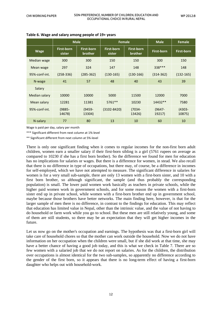|               | <b>Male</b>                 |                                     | Female                      |                                     | <b>Male</b>         | Female              |
|---------------|-----------------------------|-------------------------------------|-----------------------------|-------------------------------------|---------------------|---------------------|
| <b>Wage</b>   | <b>First-born</b><br>sister | <b>First-born</b><br><b>brother</b> | <b>First-born</b><br>sister | <b>First-born</b><br><b>brother</b> | <b>First-born</b>   | <b>First-born</b>   |
| Median wage   | 300                         | 300                                 | 150                         | 150                                 | 300                 | 150                 |
| Mean wage     | 297                         | 324                                 | 147                         | 148                                 | 338 ***             | 148                 |
| 95%-conf-int. | $(258-336)$                 | $(285 - 362)$                       | $(130-165)$                 | $(130-166)$                         | $(314 - 362)$       | $(132-165)$         |
| N-wage        | 41                          | 57                                  | 48                          | 40                                  | 43                  | 39                  |
| Salary        |                             |                                     |                             |                                     |                     |                     |
| Median salary | 10000                       | 10000                               | 5000                        | 11500                               | 12000               | 7000                |
| Mean salary   | 12281                       | 11381                               | $5761**$                    | 10230                               | $14432**$           | 7580                |
| 95%-conf-int. | $(9885 -$<br>14678)         | $(9459 -$<br>13304)                 | $(3102 - 8420)$             | $(7034 -$<br>13426)                 | $(9647 -$<br>19217) | $(4303 -$<br>10875) |
| N-salary      | 77                          | 80                                  | 13                          | 10                                  | 60                  | 10                  |

#### **Table 6. Wage and salary among people of 19+ years**

Wage is paid per day, salary per month

\*\*\* Significant different from next column at 1%-level

\*\* Significant different from next column at 5%-level

There is only one significant finding when it comes to regular incomes for the non-first born adult children, women earn a smaller salary if their first-born sibling is a girl (5761 rupees on average as compared to 10230 if she has a first born brother). So the difference we found for men for education has no implications for salaries or wages. But there is a difference for women, in stead. We also recall that there is no difference in type of occupations, but there may, of course, be a difference in incomes for self-employed, which we have not attempted to measure. The significant difference in salaries for women is for a very small sub-sample, there are only 13 women with a first-born sister, and 10 with a first born brother, so although significant, the sample (and thus probably the corresponding population) is small. The lower paid women work basically as teachers in private schools, while the higher paid women work in government schools, and for some reason the women with a first-born sister end up in private school, while women with a first-born brother end up in government school, maybe because those brothers have better networks. The main finding here, however, is that for the larger sample of men there is no difference, in contrast to the findings for education. This may reflect that education has limited value in Nepal, other than the intrinsic value, and the value of not having to do household or farm work while you go to school. But these men are still relatively young, and some of them are still students, so there may be an expectation that they will get higher incomes in the future.

Let us now go on the mother's occupation and earnings. The hypothesis was that a first-born girl will take care of household chores so that the mother can work outside the household. Now we do not have information on her occupation when the children were small, but if she did work at that time, she may have a better chance of having a good job today, and this is what we check in Table 7. There are so few women with a salaried job that we do not report on salaries. As for the children, the distribution over occupations is almost identical for the two sub-samples, so apparently no difference according to the gender of the first born, so it appears that there is no long-term effect of having a first-born daughter who helps out with household-work.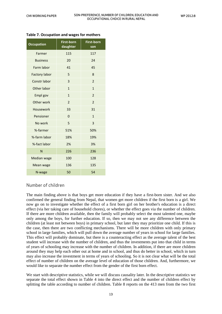| <b>Occupation</b>    | <b>First-born</b><br>daughter | <b>First-born</b><br>son |
|----------------------|-------------------------------|--------------------------|
| Farmer               | 115                           | 117                      |
| <b>Business</b>      | 20                            | 24                       |
| Farm labor           | 41                            | 45                       |
| <b>Factory labor</b> | 5                             | 8                        |
| Constr labor         | $\overline{3}$                | $\overline{2}$           |
| Other labor          | $\mathbf{1}$                  | $\mathbf{1}$             |
| Empl gov             | $\mathbf{1}$                  | $\overline{2}$           |
| Other work           | $\overline{2}$                | $\overline{2}$           |
| Housework            | 33                            | 31                       |
| Pensioner            | $\overline{0}$                | $\mathbf{1}$             |
| No work              | 5                             | 3                        |
| %-farmer             | 51%                           | 50%                      |
| %-farm labor         | 18%                           | 19%                      |
| %-fact labor         | 2%                            | 3%                       |
| N                    | 226                           | 236                      |
| Median wage          | 100                           | 128                      |
| Mean wage            | 136                           | 135                      |
| N-wage               | 50                            | 54                       |

#### **Table 7. Occupation and wages for mothers**

#### Number of children

The main finding above is that boys get more education if they have a first-born sister. And we also confirmed the general finding from Nepal, that women get more children if the first born is a girl. We now go on to investigate whether the effect of a first born girl on her brother's education is a direct effect (via her taking care of household chores), or whether the effect goes via the number of children. If there are more children available, then the family will probably select the most talented one, maybe only among the boys, for further education. If so, then we may not see any difference between the children (at least not between boys) in primary school, but later they may prioritize one child. If this is the case, then there are two conflicting mechanisms. There will be more children with only primary school in large families, which will pull down the average number of years in school for large families. This effect will probably dominate, but there is a counteracting effect as the average talent of the best student will increase with the number of children, and thus the investments put into that child in terms of years of schooling may increase with the number of children. In addition, if there are more children around they may help each other out at home and in school, and thus do better in school, which in turn may also increase the investment in terms of years of schooling. So it is not clear what will be the total effect of number of children on the average level of education of those children. And, furthermore, we would like to separate the number effect from the gender of the first born effect.

We start with descriptive statistics, while we will discuss causality later. In the descriptive statistics we separate the total effect shown in Table 4 into the direct effect and the number of children effect by splitting the table according to number of children. Table 8 reports on the 413 men from the two first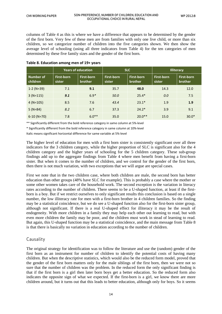columns of Table 4 as this is where we have a difference that appears to be determined by the gender of the first born. Very few of these men are from families with only one live child, or more than six children, so we categorize number of children into the five categories shown. We then show the average level of schooling (using all three indicators from Table 4) for the ten categories of men determined by these five family sizes and the gender of the first born.

|                       | <b>Years of education</b>   |                              | <b>SLC</b>           |                              | <b>Illiteracy</b>           |                              |
|-----------------------|-----------------------------|------------------------------|----------------------|------------------------------|-----------------------------|------------------------------|
| Number of<br>children | <b>First-born</b><br>sister | First-born<br><b>brother</b> | First-born<br>sister | First-born<br><b>brother</b> | <b>First-born</b><br>sister | First-born<br><b>brother</b> |
| $1-2$ (N=39)          | 7.1                         | 9.1                          | 35.7                 | 48.0                         | 14.3                        | 12.0                         |
| $3(N=115)$            | 9.1                         | $6.9*$                       | 50.0                 | $25.4*$                      | 0.0                         | 7.5                          |
| $4 (N=105)$           | 8.5                         | 7.6                          | 43.4                 | $23.1*$                      | 1.9                         | 1.9                          |
| $5 (N=84)$            | 8.2                         | 6.7                          | 37.3                 | $24.2*$                      | 3.9                         | 9.1                          |
| $6-10$ (N=70)         | 7.8                         | $6.0**$                      | 35.0                 | $20.0**$                     | 15.0                        | $30.0*$                      |

#### **Table 8. Education among men of 19+ years**

\*\* Significantly different from the bold reference category in same column at 5%-level

\* Significantly different from the bold reference category in same column at 10%-level

Italic means significant horizontal difference for same variable at 5%-level

The higher level of education for men with a first born sister is consistently significant over all three indicators for the 3 children category, while the higher proportion of SLC is significant also for the 4 children category and the higher years of schooling for the 5 children category. These sub-group findings add up to the aggregate findings from Table 4 where men benefit from having a first-born sister. But when it comes to the number of children, and we control for the gender of the first born, then there is not much variation, with two exceptions that we will argue are special cases.

First we note that in the two children case, where both children are male, the second born has better education than other groups (48% have SLC for example). This is probably a case where the mother or some other women takes care of the household work. The second exception is the variation in literacy rates according to the number of children. There seems to be a U-shaped function, at least if the firstborn is a boy. But if we restrict ourselves to only significant results this conclusion is based on a single number, the low illiteracy rate for men with a first-born brother in 4 children families. So the finding may be a statistical coincidence, but we do see a U-shaped function also for the first-born sister group, although not significant. If there is a real U-shaped effect for illiteracy it may be the result of endogeneity. With more children in a family they may help each other out learning to read, but with even more children the family may be poor, and the children must work in stead of learning to read. But again, this U-shaped function may be a statistical coincidence, and the main message from Table 8 is that there is basically no variation in education according to the number of children.

#### Causality

The original strategy for identification was to follow the literature and use the (random) gender of the first born as an instrument for number of children to identify the potential costs of having many children. But when the descriptive statistics, which would also be the reduced form model, proved that the gender of the first born matters only for the male siblings of the first born, then we were not so sure that the number of children was the problem. In the reduced form the only significant finding is that if the first born is a girl then later born boys get a better education. So the reduced form also indicates the opposite sign of what we expected. If the first-born is a girl, we know there are more children around, but it turns out that this leads to better education, although only for boys. So it seems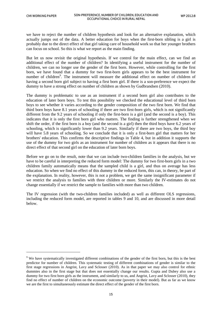$\ddot{\phantom{a}}$ 

we have to reject the number of children hypothesis and look for an alternative explanation, which actually jumps out of the data. A better education for boys when the first-born sibling is a girl is probably due to the direct effect of that girl taking care of household work so that her younger brothers can focus on school. So this is what we report as the main finding.

But let us now revisit the original hypothesis. If we control for the main effect, can we find an additional effect of the number of children? In identifying a useful instrument for the number of children, we can no longer use the gender of the first born. However, while controlling for the first born, we have found that a dummy for two first-born girls appears to be the best instrument for number of children<sup>[9](#page-20-0)</sup>. The instrument will measure the additional effect on number of children of having a second born girl subject to having a first born girl. If there is a son-preference we expect the dummy to have a strong effect on number of children as shown by Gudbrandsen (2010).

The dummy is problematic to use as an instrument if a second born girl also contributes to the education of later born boys. To test this possibility we checked the educational level of third born boys to see whether it varies according to the gender composition of the two first born. We find that third born boys have 8.1 years of schooling if there are two first-born girls, which is not significantly different from the 9.2 years of schooling if only the first-born is a girl (and the second is a boy). This indicates that it is only the first born girl who matters. The finding is further strengthened when we shift the order, if the first born is a boy (and the second is a girl) then the third boys have 6.2 years of schooling, which is significantly lower than 9.2 years. Similarly if there are two boys, the third boy will have 5.8 years of schooling. So we conclude that it is only a first-born girl that matters for her brothers' education. This confirms the descriptive findings in Table 4, but in addition it supports the use of the dummy for two girls as an instrument for number of children as it appears that there is no direct effect of that second girl on the education of later born boys.

Before we go on to the result, note that we can include two-children families in the analysis, but we have to be careful in interpreting the reduced form model: The dummy for two first-born girls in a two children family automatically means that the sampled child is a girl, and thus on average has less education. So when we find no effect of this dummy in the reduced form, this can, in theory, be part of the explanation. In reality, however, this is not a problem, we get the same insignificant parameter if we restrict the analysis to families with three children or more. Similarly the IV-estimates do not change essentially if we restrict the sample to families with more than two children.

The IV regression (with the two-children families included) as well as different OLS regressions, including the reduced form model, are reported in tables 9 and 10, and are discussed in more detail below.

<span id="page-20-0"></span><sup>&</sup>lt;sup>9</sup> We have systematically investigated different combinations of the gender of the first born, but this is the best predictor for number of children. This systematic testing of different combinations of gender is similar to the first stage regressions in Angrist, Lavy and Sclosser (2010). As in that paper we may also control for ethnic dummies also in the first stage but that does not essentially change our results. Gupta and Dubey also use a dummy for two first born girls as the instrument, and similarly to us, and Angrist, Lavy and Sclosser (2010), they find no effect of number of children on the economic outcome (poverty in their model). But as far as we know we are the first to simultaneously estimate the direct effect of the gender of the first born.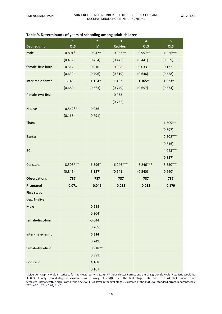| Dep: edunfb         | $\mathbf 1$<br><b>OLS</b> | $\overline{2}$<br>$\mathbf{I}$ | 3<br><b>Red-form</b> | $\overline{\mathbf{4}}$<br><b>OLS</b> | $\overline{\mathbf{5}}$<br><b>OLS</b> |
|---------------------|---------------------------|--------------------------------|----------------------|---------------------------------------|---------------------------------------|
| male                | $0.801*$                  | $0.947*$                       | $0.957**$            | $0.957**$                             | $1.226***$                            |
|                     | (0.452)                   | (0.454)                        | (0.442)              | (0.441)                               | (0.359)                               |
| female-first-born   | 0.314                     | $-0.010$                       | $-0.008$             | $-0.033$                              | $-0.132$                              |
|                     | (0.639)                   | (0.796)                        | (0.819)              | (0.646)                               | (0.558)                               |
| inter-male-femfb    | 1.145                     | $1.164*$                       | 1.152                | $1.165*$                              | $1.023*$                              |
|                     | (0.680)                   | (0.663)                        | (0.749)              | (0.657)                               | (0.574)                               |
| female-two-first    |                           |                                | $-0.033$             |                                       |                                       |
|                     |                           |                                | (0.732)              |                                       |                                       |
| N-alive             | $-0.542***$               | $-0.036$                       |                      |                                       |                                       |
|                     | (0.165)                   | (0.791)                        |                      |                                       |                                       |
| Tharu               |                           |                                |                      |                                       | $1.509**$                             |
|                     |                           |                                |                      |                                       | (0.697)                               |
| <b>Bantar</b>       |                           |                                |                      |                                       | $-2.502***$                           |
|                     |                           |                                |                      |                                       | (0.816)                               |
| BC                  |                           |                                |                      |                                       | $4.043***$                            |
|                     |                           |                                |                      |                                       | (0.837)                               |
| Constant            | 8.506 ***                 | 6.396*                         | $6.246***$           | $6.246***$                            | 5.550***                              |
|                     | (0.845)                   | (3.137)                        | (0.541)              | (0.540)                               | (0.660)                               |
| <b>Observations</b> | 787                       | 787                            | 787                  | 787                                   | 787                                   |
| <b>R-squared</b>    | 0.071                     | 0.042                          | 0.038                | 0.038                                 | 0.179                                 |
| First-stage         |                           |                                |                      |                                       |                                       |
| dep: N-alive        |                           |                                |                      |                                       |                                       |
| Male                |                           | $-0.288$                       |                      |                                       |                                       |
|                     |                           | (0.204)                        |                      |                                       |                                       |
| female-first-born   |                           | $-0.044$                       |                      |                                       |                                       |
|                     |                           | (0.265)                        |                      |                                       |                                       |
| inter-male-femfb    |                           | 0.324                          |                      |                                       |                                       |
|                     |                           | (0.249)                        |                      |                                       |                                       |
| female-two-first    |                           | $0.918**$                      |                      |                                       |                                       |
|                     |                           | (0.381)                        |                      |                                       |                                       |
| Constant            |                           | 4.168                          |                      |                                       |                                       |
|                     |                           | (0.167)                        |                      |                                       |                                       |

Kleiberger-Paap rk Wald F statistics for the clustered IV is 5.799. Without cluster-corrections the Cragg-Donald Wald F statistic would be 33.093. If only second-stage is clustered (as in ivreg, cluster()), then the first stage F-statistics is 19.44. Bold means that femalefb+intmalfemfb is significant at the 5%-level (10%-level in the first stage). Clustered at the PSU level standard errors in parentheses. \*\*\* p<0.01, \*\* p<0.05, \* p<0.1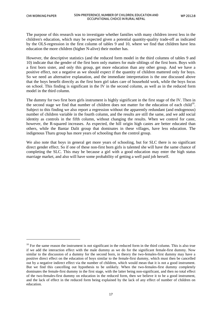1

The purpose of this research was to investigate whether families with many children invest less in the children's education, which may be expected given a potential quantity-quality trade-off as indicated by the OLS-regression in the first column of tables 9 and 10, where we find that children have less education the more children (higher N-alive) their mother has.

However, the descriptive statistics (and the reduced form model in the third columns of tables 9 and 10) indicate that the gender of the first born only matters for male siblings of the first born. Boys with a first born sister, and only this group, get more education than any other group. And we have a positive effect, not a negative as we should expect if the quantity of children mattered only for boys. So we need an alternative explanation, and the immediate interpretation is the one discussed above that the boys benefit directly as the first born girl takes care of household work, while the boys focus on school. This finding is significant in the IV in the second column, as well as in the reduced form model in the third column.

The dummy for two first born girls instrument is highly significant in the first stage of the IV. Then in the second stage we find that number of children does not matter for the education of each child $10$ . Subject to this finding we also report a regression without the apparently redundant (and endogenous) number of children variable in the fourth column, and the results are still the same, and we add social identity as controls in the fifth column, without changing the results. When we control for caste, however, the R-squared increases. As expected, the hill origin high castes are better educated than others, while the Bantar Dalit group that dominates in these villages, have less education. The indigenous Tharu group has more years of schooling than the control group.

We also note that boys in general get more years of schooling, but for SLC there is no significant direct gender effect. So if one of these non-first born girls is talented she will have the same chance of completing the SLC. This may be because a girl with a good education may enter the high status marriage market, and also will have some probability of getting a well paid job herself.

<span id="page-22-0"></span> $10$  For the same reason the instrument is not significant in the reduced form in the third column. This is also true if we add the interaction effect with the male dummy as we do for the significant female-first dummy. Now similar to the discussion of a dummy for the second born, in theory the two-females-first dummy may have a positive direct effect on the education of boys similar to the female-first dummy, which must then be cancelled out by a negative indirect effect via the number of children, which would mean that it is not a good instrument. But we find this cancelling out hypothesis to be unlikely. When the two-females-first dummy completely dominates the female-first dummy in the first stage, with the latter being non-significant, and then no total effect of the two-females-first dummy on education in the reduced form, then we believe it to be a good instrument, and the lack of effect in the reduced form being explained by the lack of any effect of number of children on education.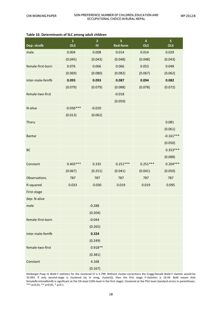| Dep: slcnfb       | $\mathbf{1}$<br><b>OLS</b> | $\overline{\mathbf{2}}$<br>$\mathbf{I}$ | 3<br><b>Red-form</b> | $\overline{\mathbf{4}}$<br><b>OLS</b> | 5<br><b>OLS</b> |
|-------------------|----------------------------|-----------------------------------------|----------------------|---------------------------------------|-----------------|
| male              | 0.004                      | 0.008                                   | 0.014                | 0.014                                 | 0.029           |
|                   | (0.045)                    | (0.043)                                 | (0.048)              | (0.048)                               | (0.043)         |
| female-first-born | 0.076                      | 0.066                                   | 0.066                | 0.053                                 | 0.048           |
|                   | (0.069)                    | (0.080)                                 | (0.082)              | (0.067)                               | (0.062)         |
| inter-male-femfb  | 0.093                      | 0.093                                   | 0.087                | 0.094                                 | 0.082           |
|                   | (0.079)                    | (0.079)                                 | (0.088)              | (0.078)                               | (0.072)         |
| female-two-first  |                            |                                         | $-0.018$             |                                       |                 |
|                   |                            |                                         | (0.059)              |                                       |                 |
| N-alive           | $-0.036***$                | $-0.020$                                |                      |                                       |                 |
|                   | (0.013)                    | (0.062)                                 |                      |                                       |                 |
| Tharu             |                            |                                         |                      |                                       | 0.081           |
|                   |                            |                                         |                      |                                       | (0.061)         |
| <b>Bantar</b>     |                            |                                         |                      |                                       | $-0.161***$     |
|                   |                            |                                         |                      |                                       | (0.050)         |
| BC                |                            |                                         |                      |                                       | $0.353***$      |
|                   |                            |                                         |                      |                                       | (0.088)         |
| Constant          | $0.403***$                 | 0.335                                   | $0.251***$           | $0.251***$                            | $0.204***$      |
|                   | (0.067)                    | (0.251)                                 | (0.041)              | (0.041)                               | (0.050)         |
| Observations      | 787                        | 787                                     | 787                  | 787                                   | 787             |
| R-squared         | 0.033                      | 0.030                                   | 0.019                | 0.019                                 | 0.095           |
| First-stage       |                            |                                         |                      |                                       |                 |
| dep: N-alive      |                            |                                         |                      |                                       |                 |
| male              |                            | $-0.288$                                |                      |                                       |                 |
|                   |                            | (0.204)                                 |                      |                                       |                 |
| female-first-born |                            | $-0.044$                                |                      |                                       |                 |
|                   |                            | (0.265)                                 |                      |                                       |                 |
| inter-male-femfb  |                            | 0.324                                   |                      |                                       |                 |
|                   |                            | (0.249)                                 |                      |                                       |                 |
| female-two-first  |                            | $0.918**$                               |                      |                                       |                 |
|                   |                            | (0.381)                                 |                      |                                       |                 |
| Constant          |                            | 4.168                                   |                      |                                       |                 |
|                   |                            | (0.167)                                 |                      |                                       |                 |

#### **Table 10. Determinants of SLC among adult children**

Kleiberger-Paap rk Wald F statistics for the clustered IV is 5.799. Without cluster-corrections the Cragg-Donald Wald F statistic would be 33.093. If only second-stage is clustered (as in ivreg, cluster()), then the first stage F-statistics is 19.44. Bold means that femalefb+intmalfemfb is significant at the 5%-level (10%-level in the first stage). Clustered at the PSU level standard errors in parentheses. \*\*\* p<0.01, \*\* p<0.05, \* p<0.1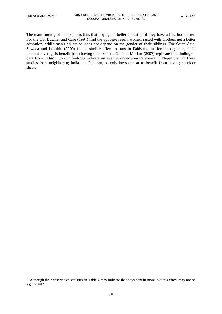1

The main finding of this paper is thus that boys get a better education if they have a first born sister. For the US, Butcher and Case (1994) find the opposite result, women raised with brothers get a better education, while men's education does not depend on the gender of their siblings. For South-Asia, Sawada and Lokshin (2009) find a similar effect to ours in Pakistan, but for both gender, so in Pakistan even girls benefit from having older sisters. Ota and Moffatt (2007) replicate this finding on data from India<sup>[11](#page-24-0)</sup>. So our findings indicate an even stronger son-preference in Nepal than in these studies from neighboring India and Pakistan, as only boys appear to benefit from having an older sister.

<span id="page-24-0"></span> $11$  Although their descriptive statistics in Table 2 may indicate that boys benefit more, but this effect may not be significant?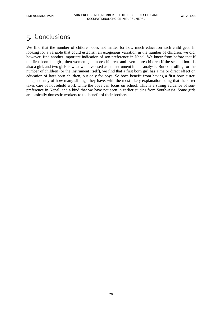## <span id="page-25-0"></span>5. Conclusions

We find that the number of children does not matter for how much education each child gets. In looking for a variable that could establish an exogenous variation in the number of children, we did, however, find another important indication of son-preference in Nepal. We knew from before that if the first born is a girl, then women gets more children, and even more children if the second born is also a girl, and two girls is what we have used as an instrument in our analysis. But controlling for the number of children (or the instrument itself), we find that a first born girl has a major direct effect on education of later born children, but only for boys. So boys benefit from having a first born sister, independently of how many siblings they have, with the most likely explanation being that the sister takes care of household work while the boys can focus on school. This is a strong evidence of sonpreference in Nepal, and a kind that we have not seen in earlier studies from South-Asia. Some girls are basically domestic workers to the benefit of their brothers.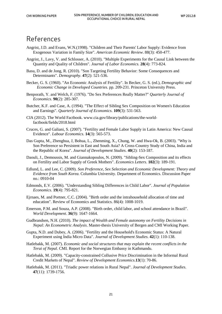### <span id="page-26-0"></span>References

- Angrist, J.D. and Evans, W.N.(1998). "Children and Their Parents' Labor Supply: Evidence from Exogenous Variation in Family Size". *American Economic Review*. 88(3): 450-477.
- Angrist, J., Lavy, V. and Schlosser, A. (2010). "Multiple Experiments for the Causal Link between the Quantity and Quality of Children". *Journal of Labor Economics*. **28**(4): 773-824.
- Basu, D. and de Jong, R. (2010). "Son Targeting Fertility Behavior: Some Consequences and Determinants". *Demography*. **47**(2): 521-536.
- Becker, G. S. (1960). "An Economic Analysis of Fertility". In Becker, G. S. (ed.), *Demographic and Economic Change in Developed Countries*. pp. 209-231. Princeton University Press.
- Benporath, Y. and Welch, F. (1976). "Do Sex Preferences Really Matter?" *Quarterly Journal of Economics*. **90**(2): 285-307.
- Butcher, K.F. and Case, A. (1994). "The Effect of Sibling Sex Composition on Women's Education and Earnings". *Quarterly Journal of Economics*. **109**(3): 531-563.
- CIA (2012). The World Factbook. www.cia.gov/library/publications/the-worldfactbook/fields/2018.html
- Cruces, G. and Galiani, S. (2007). "Fertility and Female Labor Supply in Latin America: New Causal Evidence". *Labour Economics*. **14**(3): 565-573.
- Das Gupta, M., Zhenghua, J, Bohua, L., Zhenming, X., Chung, W. and Hwa-Ok, B. (2003). "Why is Son Preference so Persistent in East and South Asia? A Cross-Country Study of China, India and the Republic of Korea". *Journal of Development Studies*. **40**(2): 153-187.
- Daouli, J., Demoussis, M. and Giannakopoulos, N. (2009). "Sibling-Sex Composition and its effects on Fertility and Labor Supply of Greek Mothers". *Economics Letters*. **102**(3): 189-191.
- Edlund, L. and Lee, C. (2009). *Son Preference, Sex Selection and Economic Development: Theory and Evidence from South Korea*. Columbia University. Department of Economics. Discussion Paper no.: 0910-04
- Edmonds, E.V. (2006). "Understanding Sibling Differences in Child Labor". *Journal of Population Economics*. **19**(4): 795-821.
- Ejrnaes, M. and Portner, C.C. (2004). "Birth order and the intrahousehold allocation of time and education". Review of Economics and Statistics. 86(4): 1008-1019.
- Emerson, P.M. and Souza, A.P. (2008). "Birth order, child labor, and school attendance in Brazil". *World Development*. **36**(9): 1647-1664.
- Gudbrandsen, N.H. (2010). *The impact of Wealth and Female autonomy on Fertility Decisions in Nepal: An Econometric Analysis*. Master-thesis University of Bergen and CMI Working Paper.
- Gupta, N.D. and Dubey, A. (2006). "Fertility and the Household's Economic Status: A Natural Experiment using India Micro Data". *Journal of Development Studies*. **42**(1): 110-138.
- Hatlebakk, M. (2007). *Economic and social structures that may explain the recent conflicts in the Terai of Nepal*. CMI. Report for the Norwegian Embassy in Kathmandu.
- Hatlebakk, M. (2009). "Capacity-constrained Collusive Price Discrimination in the Informal Rural Credit Markets of Nepal". *Review of Development Economics*.**13**(1): 70-86.
- Hatlebakk, M. (2011). "Triadic power relations in Rural Nepal". *Journal of Development Studies*. **47**(11): 1739-1756.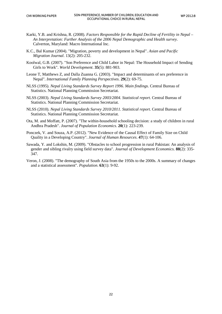- Karki, Y.B. and Krishna, R. (2008). *Factors Responsible for the Rapid Decline of Fertility in Nepal An Interpretation: Further Analysis of the 2006 Nepal Demographic and Health survey*. Calverton, Maryland: Macro International Inc.
- K.C., Bal Kumar (2004). "Migration, poverty and development in Nepal". *Asian and Pacific Migration Journal*. 13(2): 205-232.
- Koolwal, G.B. (2007). "Son Preference and Child Labor in Nepal: The Household Impact of Sending Girls to Work". *World Development*. **35**(5): 881-903.
- Leone T, Matthews Z, and Dalla Zuanna G. (2003). "Impact and determinants of sex preference in Nepal". *International Family Planning Perspectives*. **29**(2): 69-75.
- NLSS (1995). *Nepal Living Standards Survey Report 1996. Main findings*. Central Bureau of Statistics. National Planning Commission Secretariat.
- NLSS (2003). *Nepal Living Standards Survey 2003/2004. Statistical report*. Central Bureau of Statistics. National Planning Commission Secretariat.
- NLSS (2010). *Nepal Living Standards Survey 2010/2011. Statistical report*. Central Bureau of Statistics. National Planning Commission Secretariat.
- Ota, M. and Moffatt, P. (2007). "The within-household schooling decision: a study of children in rural Andhra Pradesh". *Journal of Population Economics*. **20**(1): 223-239.
- Ponczek, V. and Souza, A.P. (2012). "New Evidence of the Causal Effect of Family Size on Child Quality in a Developing Country". *Journal of Human Resources*. **47**(1): 64-106.
- Sawada, Y. and Lokshin, M. (2009). "Obstacles to school progression in rural Pakistan: An analysis of gender and sibling rivalry using field survey data". *Journal of Development Economics*. **88**(2): 335- 347.
- Veron, J. (2008). "The demography of South Asia from the 1950s to the 2000s. A summary of changes and a statistical assessment". *Population*. **63**(1): 9-92.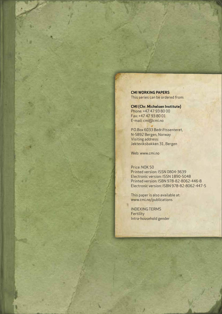**CMI WORKING PAPERS** This series can be ordered from:

**CMI (Chr. Michelsen Institute)** Phone: +47 47 93 80 00 Fax: +47 47 93 80 01 E-mail: cmi@cmi.no

P.O.Box 6033 Bedriftssenteret, N-5892 Bergen, Norway Visiting address: Jekteviksbakken 31, Bergen

Web: www.cmi.no

#### Price: NOK 50

Printed version: ISSN 0804-3639 Electronic version: ISSN 1890-5048 Printed version: ISBN 978-82-8062-446-8 Electronic version: ISBN 978-82-8062-447-5

This paper is also available at: www.cmi.no/publications

INDEXING TERMS **Fertility** Intra-household gender